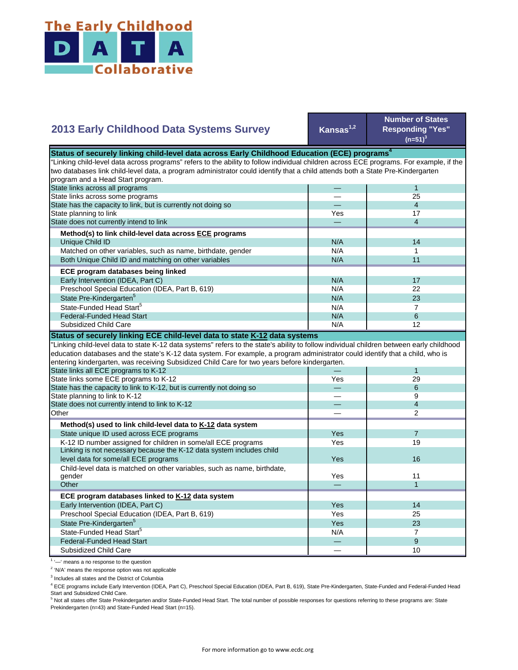

## **Kansas1,2 Number of States Responding "Yes"**   $(n=51)^{3}$ — 1 — 25 — 4 Yes **17** — 4 N/A 14  $N/A$  1 N/A 11  $N/A$  17 N/A 22  $N/A$  23  $N/A$  7 State Pre-Kindergarten<sup>5</sup> State-Funded Head Start<sup>5</sup> Matched on other variables, such as name, birthdate, gender Both Unique Child ID and matching on other variables  **ECE program databases being linked**  Early Intervention (IDEA, Part C) Preschool Special Education (IDEA, Part B, 619) State has the capacity to link, but is currently not doing so State planning to link State does not currently intend to link  **Method(s) to link child-level data across ECE programs** Unique Child ID **2013 Early Childhood Data Systems Survey** Status of securely linking child-level data across Early Childhood Education (ECE) programs<sup>4</sup> "Linking child-level data across programs" refers to the ability to follow individual children across ECE programs. For example, if the two databases link child-level data, a program administrator could identify that a child attends both a State Pre-Kindergarten program and a Head Start program. State links across all programs State links across some programs  $N/A$  6 N/A **1** 12 — 1 Yes 29 — 6 — 9 — 4 — 2 Yes | 7 Yes **I** 19 Yes Yes 11 — 1 Yes I 14 Yes 25 Yes 23  $N/A$  7 — 9  $-$  10 Preschool Special Education (IDEA, Part B, 619) State Pre-Kindergarten<sup>5</sup> State-Funded Head Start<sup>5</sup> Federal-Funded Head Start Subsidized Child Care Child-level data is matched on other variables, such as name, birthdate, gender **Other ECE program databases linked to K-12 data system** Early Intervention (IDEA, Part C) **Other Method(s) used to link child-level data to K-12 data system** State unique ID used across ECE programs K-12 ID number assigned for children in some/all ECE programs Linking is not necessary because the K-12 data system includes child level data for some/all ECE programs 16 and 200 minutes and 200 minutes of the state of the state of the state of the state of the state of the state of the state of the state of the state of the state of the state of the "Linking child-level data to state K-12 data systems" refers to the state's ability to follow individual children between early childhood education databases and the state's K-12 data system. For example, a program administrator could identify that a child, who is entering kindergarten, was receiving Subsidized Child Care for two years before kindergarten. State links all ECE programs to K-12 State links some ECE programs to K-12 State has the capacity to link to K-12, but is currently not doing so State planning to link to K-12 State does not currently intend to link to K-12 Federal-Funded Head Start Subsidized Child Care **Status of securely linking ECE child-level data to state K-12 data systems**

<sup>1</sup> '-' means a no response to the question

<sup>2</sup> 'N/A' means the response option was not applicable

<sup>3</sup> Includes all states and the District of Columbia

<sup>4</sup> ECE programs include Early Intervention (IDEA, Part C), Preschool Special Education (IDEA, Part B, 619), State Pre-Kindergarten, State-Funded and Federal-Funded Head Start and Subsidized Child Care.

<sup>5</sup> Not all states offer State Prekindergarten and/or State-Funded Head Start. The total number of possible responses for questions referring to these programs are: State Prekindergarten (n=43) and State-Funded Head Start (n=15).